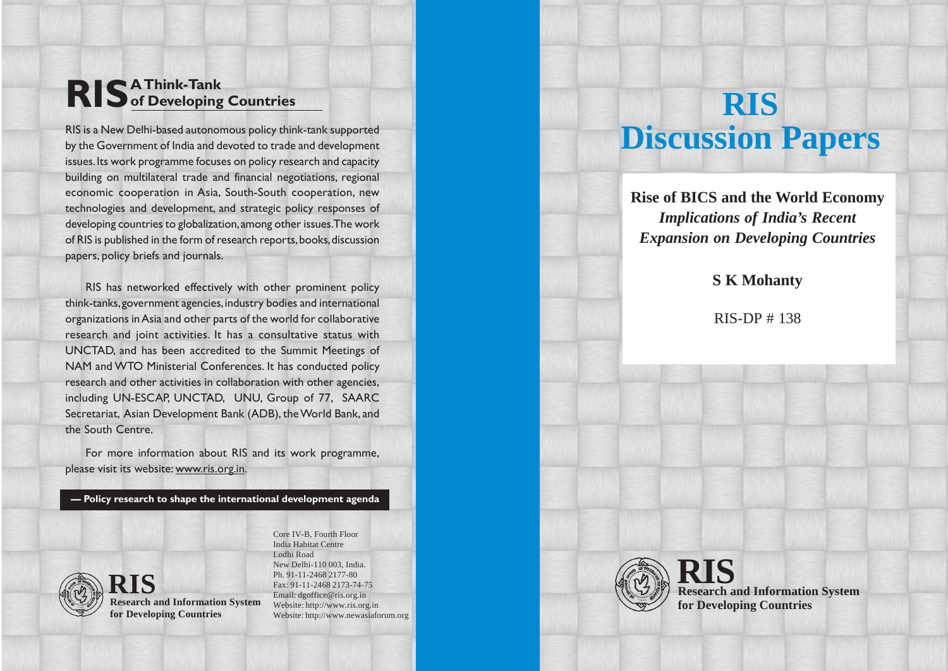## **RIS A Think-Tank of Developing Countries**

RIS is a New Delhi-based autonomous policy think-tank supported by the Government of India and devoted to trade and development issues. Its work programme focuses on policy research and capacity building on multilateral trade and financial negotiations, regional economic cooperation in Asia, South-South cooperation, new technologies and development, and strategic policy responses of developing countries to globalization, among other issues. The work of RIS is published in the form of research reports, books, discussion papers, policy briefs and journals.

RIS has networked effectively with other prominent policy think-tanks, government agencies, industry bodies and international organizations in Asia and other parts of the world for collaborative research and joint activities. It has a consultative status with UNCTAD, and has been accredited to the Summit Meetings of NAM and WTO Ministerial Conferences. It has conducted policy research and other activities in collaboration with other agencies, including UN-ESCAP, UNCTAD, UNU, Group of 77, SAARC Secretariat, Asian Development Bank (ADB), the World Bank, and the South Centre.

For more information about RIS and its work programme, please visit its website: www.ris.org.in.

**— Policy research to shape the international development agenda**



**Research and Information System RIS for Developing Countries**

Core IV-B, Fourth Floor India Habitat Centre Lodhi Road New Delhi-110 003, India. Ph. 91-11-2468 2177-80 Fax: 91-11-2468 2173-74-75 Email: dgoffice@ris.org.in Website: http://www.ris.org.in Website: http://www.newasiaforum.org

# **RIS Discussion Papers**

**Rise of BICS and the World Economy** *Implications of India's Recent Expansion on Developing Countries*

### **S K Mohanty**

RIS-DP # 138



**Research and Information System RIS for Developing Countries**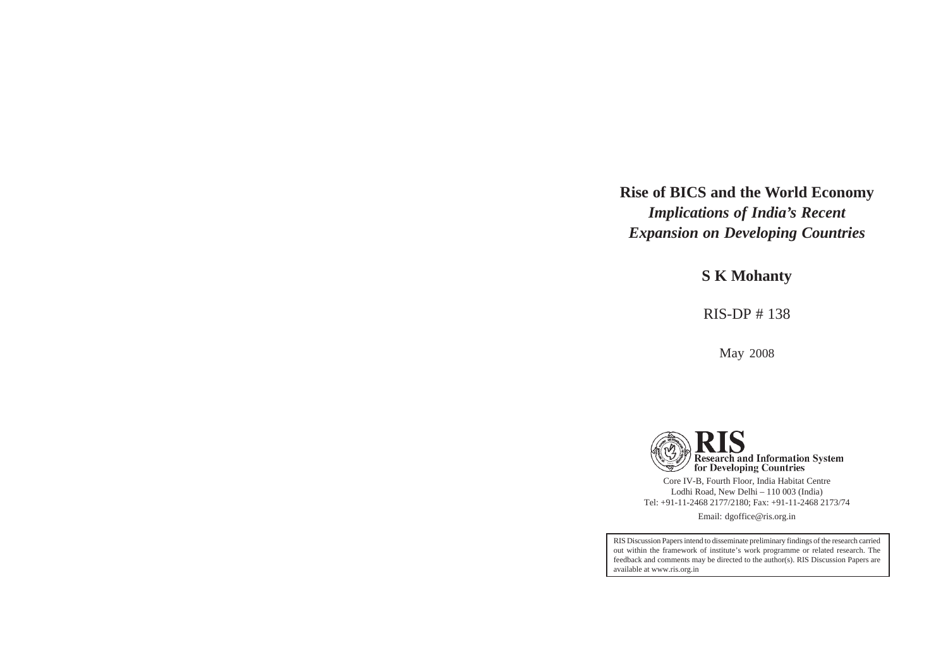## **Rise of BICS and the World Economy** *Implications of India's Recent Expansion on Developing Countries*

**S K Mohanty**

RIS-DP # 138

May 2008



Core IV-B, Fourth Floor, India Habitat Centre Lodhi Road, New Delhi – 110 003 (India) Tel: +91-11-2468 2177/2180; Fax: +91-11-2468 2173/74

Email: dgoffice@ris.org.in

RIS Discussion Papers intend to disseminate preliminary findings of the research carried out within the framework of institute's work programme or related research. The feedback and comments may be directed to the author(s). RIS Discussion Papers are available at www.ris.org.in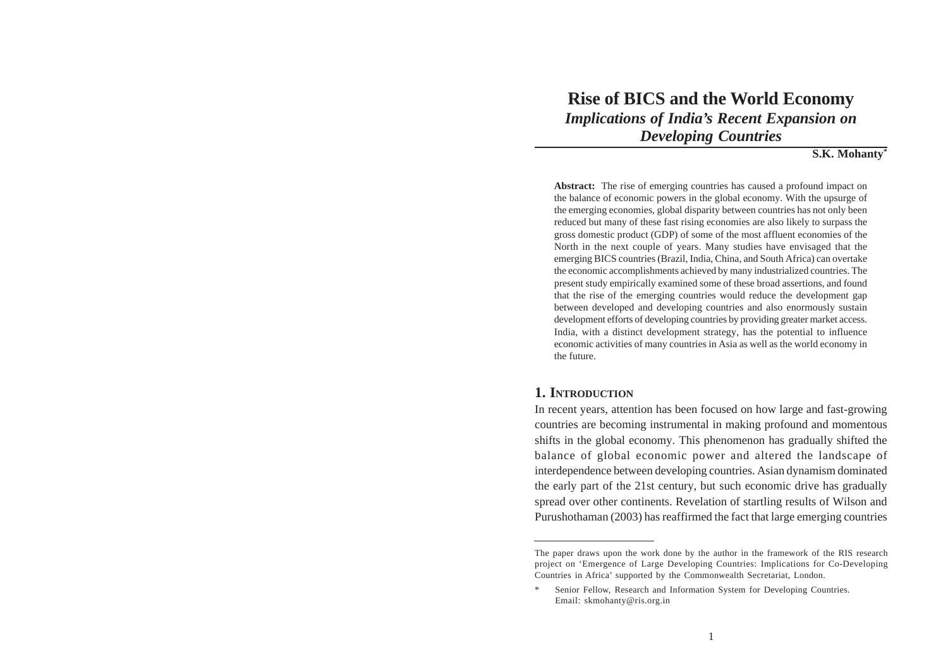## **Rise of BICS and the World Economy**

*Implications of India's Recent Expansion on Developing Countries*

#### **S.K. Mohanty\***

**Abstract:** The rise of emerging countries has caused a profound impact on the balance of economic powers in the global economy. With the upsurge of the emerging economies, global disparity between countries has not only been reduced but many of these fast rising economies are also likely to surpass the gross domestic product (GDP) of some of the most affluent economies of the North in the next couple of years. Many studies have envisaged that the emerging BICS countries (Brazil, India, China, and South Africa) can overtake the economic accomplishments achieved by many industrialized countries. The present study empirically examined some of these broad assertions, and found that the rise of the emerging countries would reduce the development gap between developed and developing countries and also enormously sustain development efforts of developing countries by providing greater market access. India, with a distinct development strategy, has the potential to influence economic activities of many countries in Asia as well as the world economy in the future.

#### **1. INTRODUCTION**

In recent years, attention has been focused on how large and fast-growing countries are becoming instrumental in making profound and momentous shifts in the global economy. This phenomenon has gradually shifted the balance of global economic power and altered the landscape of interdependence between developing countries. Asian dynamism dominated the early part of the 21st century, but such economic drive has gradually spread over other continents. Revelation of startling results of Wilson and Purushothaman (2003) has reaffirmed the fact that large emerging countries

The paper draws upon the work done by the author in the framework of the RIS research project on 'Emergence of Large Developing Countries: Implications for Co-Developing Countries in Africa' supported by the Commonwealth Secretariat, London.

Senior Fellow, Research and Information System for Developing Countries. Email: skmohanty@ris.org.in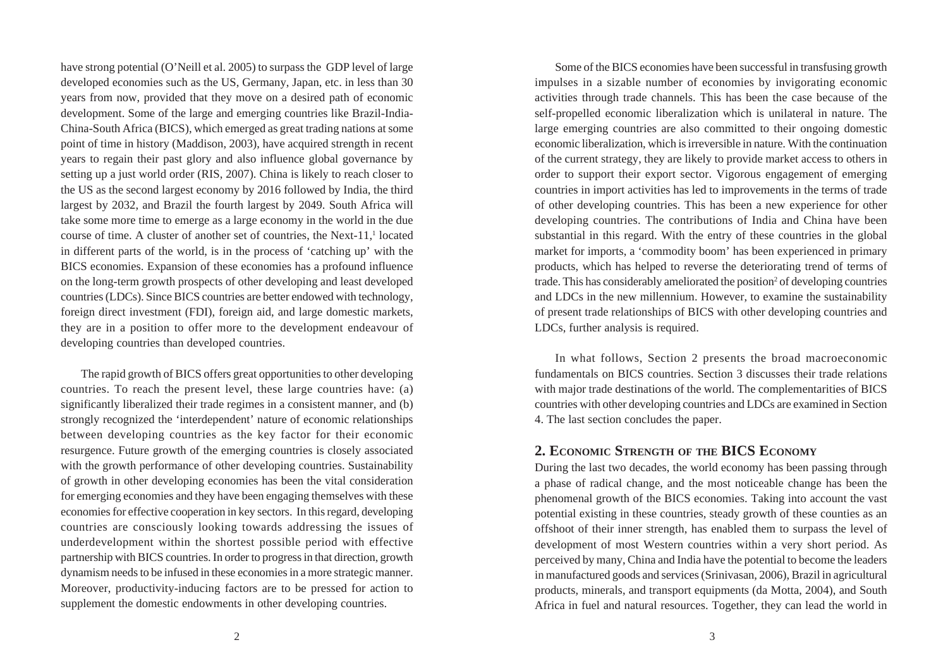have strong potential (O'Neill et al. 2005) to surpass the GDP level of large developed economies such as the US, Germany, Japan, etc. in less than 30 years from now, provided that they move on a desired path of economic development. Some of the large and emerging countries like Brazil-India-China-South Africa (BICS), which emerged as great trading nations at some point of time in history (Maddison, 2003), have acquired strength in recent years to regain their past glory and also influence global governance by setting up a just world order (RIS, 2007). China is likely to reach closer to the US as the second largest economy by 2016 followed by India, the third largest by 2032, and Brazil the fourth largest by 2049. South Africa will take some more time to emerge as a large economy in the world in the due course of time. A cluster of another set of countries, the Next- $11$ ,<sup>1</sup> located in different parts of the world, is in the process of 'catching up' with the BICS economies. Expansion of these economies has a profound influence on the long-term growth prospects of other developing and least developed countries (LDCs). Since BICS countries are better endowed with technology, foreign direct investment (FDI), foreign aid, and large domestic markets, they are in a position to offer more to the development endeavour of developing countries than developed countries.

The rapid growth of BICS offers great opportunities to other developing countries. To reach the present level, these large countries have: (a) significantly liberalized their trade regimes in a consistent manner, and (b) strongly recognized the 'interdependent' nature of economic relationships between developing countries as the key factor for their economic resurgence. Future growth of the emerging countries is closely associated with the growth performance of other developing countries. Sustainability of growth in other developing economies has been the vital consideration for emerging economies and they have been engaging themselves with these economies for effective cooperation in key sectors. In this regard, developing countries are consciously looking towards addressing the issues of underdevelopment within the shortest possible period with effective partnership with BICS countries. In order to progress in that direction, growth dynamism needs to be infused in these economies in a more strategic manner. Moreover, productivity-inducing factors are to be pressed for action to supplement the domestic endowments in other developing countries.

Some of the BICS economies have been successful in transfusing growth impulses in a sizable number of economies by invigorating economic activities through trade channels. This has been the case because of the self-propelled economic liberalization which is unilateral in nature. The large emerging countries are also committed to their ongoing domestic economic liberalization, which is irreversible in nature. With the continuation of the current strategy, they are likely to provide market access to others in order to support their export sector. Vigorous engagement of emerging countries in import activities has led to improvements in the terms of trade of other developing countries. This has been a new experience for other developing countries. The contributions of India and China have been substantial in this regard. With the entry of these countries in the global market for imports, a 'commodity boom' has been experienced in primary products, which has helped to reverse the deteriorating trend of terms of trade. This has considerably ameliorated the position<sup>2</sup> of developing countries and LDCs in the new millennium. However, to examine the sustainability of present trade relationships of BICS with other developing countries and LDCs, further analysis is required.

In what follows, Section 2 presents the broad macroeconomic fundamentals on BICS countries. Section 3 discusses their trade relations with major trade destinations of the world. The complementarities of BICS countries with other developing countries and LDCs are examined in Section 4. The last section concludes the paper.

#### **2. ECONOMIC STRENGTH OF THE BICS ECONOMY**

During the last two decades, the world economy has been passing through a phase of radical change, and the most noticeable change has been the phenomenal growth of the BICS economies. Taking into account the vast potential existing in these countries, steady growth of these counties as an offshoot of their inner strength, has enabled them to surpass the level of development of most Western countries within a very short period. As perceived by many, China and India have the potential to become the leaders in manufactured goods and services (Srinivasan, 2006), Brazil in agricultural products, minerals, and transport equipments (da Motta, 2004), and South Africa in fuel and natural resources. Together, they can lead the world in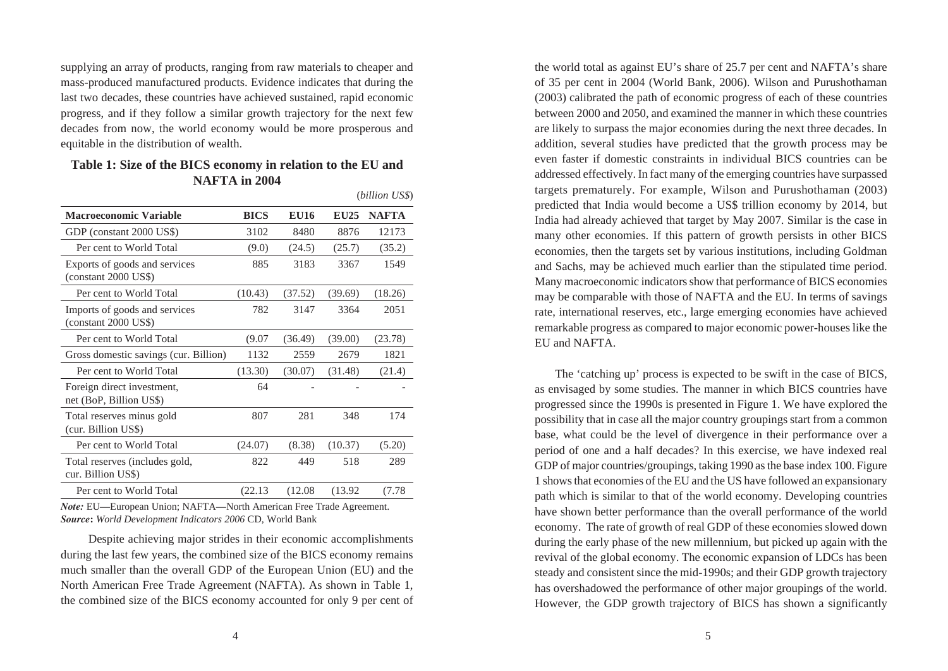supplying an array of products, ranging from raw materials to cheaper and mass-produced manufactured products. Evidence indicates that during the last two decades, these countries have achieved sustained, rapid economic progress, and if they follow a similar growth trajectory for the next few decades from now, the world economy would be more prosperous and equitable in the distribution of wealth.

#### **Table 1: Size of the BICS economy in relation to the EU and NAFTA in 2004**

| <b>Macroeconomic Variable</b>                         | <b>BICS</b> | <b>EU16</b> | <b>EU25</b> | <b>NAFTA</b> |
|-------------------------------------------------------|-------------|-------------|-------------|--------------|
| GDP (constant 2000 US\$)                              | 3102        | 8480        | 8876        | 12173        |
| Per cent to World Total                               | (9.0)       | (24.5)      | (25.7)      | (35.2)       |
| Exports of goods and services<br>(constant 2000 US\$) | 885         | 3183        | 3367        | 1549         |
| Per cent to World Total                               | (10.43)     | (37.52)     | (39.69)     | (18.26)      |
| Imports of goods and services<br>$(constant 2000 US\$ | 782         | 3147        | 3364        | 2051         |
| Per cent to World Total                               | (9.07)      | (36.49)     | (39.00)     | (23.78)      |
| Gross domestic savings (cur. Billion)                 | 1132        | 2559        | 2679        | 1821         |
| Per cent to World Total                               | (13.30)     | (30.07)     | (31.48)     | (21.4)       |
| Foreign direct investment,<br>net (BoP, Billion US\$) | 64          |             |             |              |
| Total reserves minus gold<br>(cur. Billion US\$)      | 807         | 281         | 348         | 174          |
| Per cent to World Total                               | (24.07)     | (8.38)      | (10.37)     | (5.20)       |
| Total reserves (includes gold,<br>cur. Billion US\$)  | 822         | 449         | 518         | 289          |
| Per cent to World Total                               | (22.13)     | (12.08)     | (13.92)     | (7.78)       |
|                                                       |             |             |             |              |

(*billion US\$*)

*Note:* EU—European Union; NAFTA—North American Free Trade Agreement. *Source***:** *World Development Indicators 2006* CD, World Bank

 Despite achieving major strides in their economic accomplishments during the last few years, the combined size of the BICS economy remains much smaller than the overall GDP of the European Union (EU) and the North American Free Trade Agreement (NAFTA). As shown in Table 1, the combined size of the BICS economy accounted for only 9 per cent of the world total as against EU's share of 25.7 per cent and NAFTA's share of 35 per cent in 2004 (World Bank, 2006). Wilson and Purushothaman (2003) calibrated the path of economic progress of each of these countries between 2000 and 2050, and examined the manner in which these countries are likely to surpass the major economies during the next three decades. In addition, several studies have predicted that the growth process may be even faster if domestic constraints in individual BICS countries can be addressed effectively. In fact many of the emerging countries have surpassed targets prematurely. For example, Wilson and Purushothaman (2003) predicted that India would become a US\$ trillion economy by 2014, but India had already achieved that target by May 2007. Similar is the case in many other economies. If this pattern of growth persists in other BICS economies, then the targets set by various institutions, including Goldman and Sachs, may be achieved much earlier than the stipulated time period. Many macroeconomic indicators show that performance of BICS economies may be comparable with those of NAFTA and the EU. In terms of savings rate, international reserves, etc., large emerging economies have achieved remarkable progress as compared to major economic power-houses like the EU and NAFTA.

The 'catching up' process is expected to be swift in the case of BICS, as envisaged by some studies. The manner in which BICS countries have progressed since the 1990s is presented in Figure 1. We have explored the possibility that in case all the major country groupings start from a common base, what could be the level of divergence in their performance over a period of one and a half decades? In this exercise, we have indexed real GDP of major countries/groupings, taking 1990 as the base index 100. Figure 1 shows that economies of the EU and the US have followed an expansionary path which is similar to that of the world economy. Developing countries have shown better performance than the overall performance of the world economy. The rate of growth of real GDP of these economies slowed down during the early phase of the new millennium, but picked up again with the revival of the global economy. The economic expansion of LDCs has been steady and consistent since the mid-1990s; and their GDP growth trajectory has overshadowed the performance of other major groupings of the world. However, the GDP growth trajectory of BICS has shown a significantly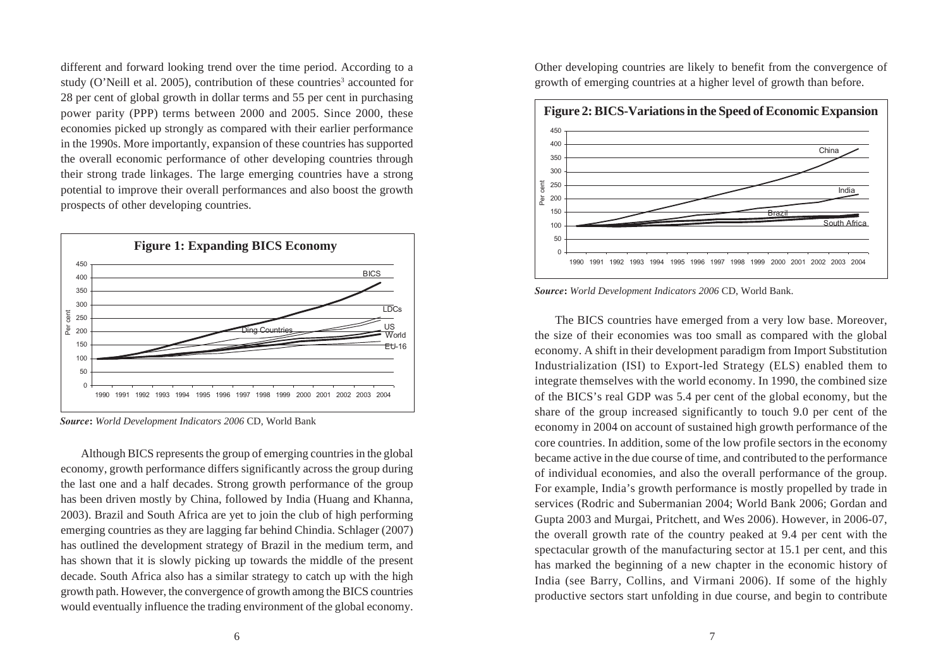different and forward looking trend over the time period. According to a study (O'Neill et al. 2005), contribution of these countries<sup>3</sup> accounted for 28 per cent of global growth in dollar terms and 55 per cent in purchasing power parity (PPP) terms between 2000 and 2005. Since 2000, these economies picked up strongly as compared with their earlier performance in the 1990s. More importantly, expansion of these countries has supported the overall economic performance of other developing countries through their strong trade linkages. The large emerging countries have a strong potential to improve their overall performances and also boost the growth prospects of other developing countries.



*Source***:** *World Development Indicators 2006* CD, World Bank

Although BICS represents the group of emerging countries in the global economy, growth performance differs significantly across the group during the last one and a half decades. Strong growth performance of the group has been driven mostly by China, followed by India (Huang and Khanna, 2003). Brazil and South Africa are yet to join the club of high performing emerging countries as they are lagging far behind Chindia. Schlager (2007) has outlined the development strategy of Brazil in the medium term, and has shown that it is slowly picking up towards the middle of the present decade. South Africa also has a similar strategy to catch up with the high growth path. However, the convergence of growth among the BICS countries would eventually influence the trading environment of the global economy. Other developing countries are likely to benefit from the convergence of growth of emerging countries at a higher level of growth than before.



*Source***:** *World Development Indicators 2006* CD, World Bank.

The BICS countries have emerged from a very low base. Moreover, the size of their economies was too small as compared with the global economy. A shift in their development paradigm from Import Substitution Industrialization (ISI) to Export-led Strategy (ELS) enabled them to integrate themselves with the world economy. In 1990, the combined size of the BICS's real GDP was 5.4 per cent of the global economy, but the share of the group increased significantly to touch 9.0 per cent of the economy in 2004 on account of sustained high growth performance of the core countries. In addition, some of the low profile sectors in the economy became active in the due course of time, and contributed to the performance of individual economies, and also the overall performance of the group. For example, India's growth performance is mostly propelled by trade in services (Rodric and Subermanian 2004; World Bank 2006; Gordan and Gupta 2003 and Murgai, Pritchett, and Wes 2006). However, in 2006-07, the overall growth rate of the country peaked at 9.4 per cent with the spectacular growth of the manufacturing sector at 15.1 per cent, and this has marked the beginning of a new chapter in the economic history of India (see Barry, Collins, and Virmani 2006). If some of the highly productive sectors start unfolding in due course, and begin to contribute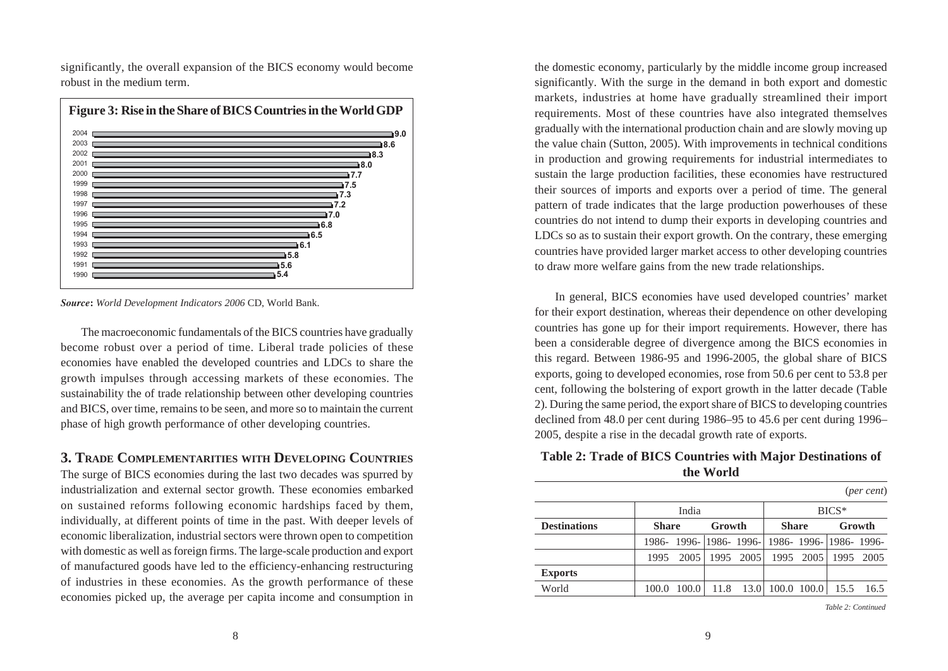significantly, the overall expansion of the BICS economy would become robust in the medium term.



*Source***:** *World Development Indicators 2006* CD, World Bank.

The macroeconomic fundamentals of the BICS countries have gradually become robust over a period of time. Liberal trade policies of these economies have enabled the developed countries and LDCs to share the growth impulses through accessing markets of these economies. The sustainability the of trade relationship between other developing countries and BICS, over time, remains to be seen, and more so to maintain the current phase of high growth performance of other developing countries.

#### **3. TRADE COMPLEMENTARITIES WITH DEVELOPING COUNTRIES**

The surge of BICS economies during the last two decades was spurred by industrialization and external sector growth. These economies embarked on sustained reforms following economic hardships faced by them, individually, at different points of time in the past. With deeper levels of economic liberalization, industrial sectors were thrown open to competition with domestic as well as foreign firms. The large-scale production and export of manufactured goods have led to the efficiency-enhancing restructuring of industries in these economies. As the growth performance of these economies picked up, the average per capita income and consumption in

the domestic economy, particularly by the middle income group increased significantly. With the surge in the demand in both export and domestic markets, industries at home have gradually streamlined their import requirements. Most of these countries have also integrated themselves gradually with the international production chain and are slowly moving up the value chain (Sutton, 2005). With improvements in technical conditions in production and growing requirements for industrial intermediates to sustain the large production facilities, these economies have restructured their sources of imports and exports over a period of time. The general pattern of trade indicates that the large production powerhouses of these countries do not intend to dump their exports in developing countries and LDCs so as to sustain their export growth. On the contrary, these emerging countries have provided larger market access to other developing countries to draw more welfare gains from the new trade relationships.

In general, BICS economies have used developed countries' market for their export destination, whereas their dependence on other developing countries has gone up for their import requirements. However, there has been a considerable degree of divergence among the BICS economies in this regard. Between 1986-95 and 1996-2005, the global share of BICS exports, going to developed economies, rose from 50.6 per cent to 53.8 per cent, following the bolstering of export growth in the latter decade (Table 2). During the same period, the export share of BICS to developing countries declined from 48.0 per cent during 1986–95 to 45.6 per cent during 1996– 2005, despite a rise in the decadal growth rate of exports.

#### **Table 2: Trade of BICS Countries with Major Destinations of the World**

|                     |              |                                                 |        |                    |                           |                     |         | ( <i>per cent</i> ) |
|---------------------|--------------|-------------------------------------------------|--------|--------------------|---------------------------|---------------------|---------|---------------------|
|                     |              | India                                           |        |                    |                           |                     | $BICS*$ |                     |
| <b>Destinations</b> | <b>Share</b> |                                                 | Growth |                    | <b>Share</b>              |                     |         | Growth              |
|                     |              | 1986- 1996- 1986- 1996- 1986- 1996- 1986- 1996- |        |                    |                           |                     |         |                     |
|                     | 1995         |                                                 |        | 2005   1995   2005 |                           | 1995 2005 1995 2005 |         |                     |
| <b>Exports</b>      |              |                                                 |        |                    |                           |                     |         |                     |
| World               |              | 100.0                                           |        |                    | $11.8$ 13.0   100.0 100.0 |                     |         | 15.5 16.5           |

*Table 2: Continued*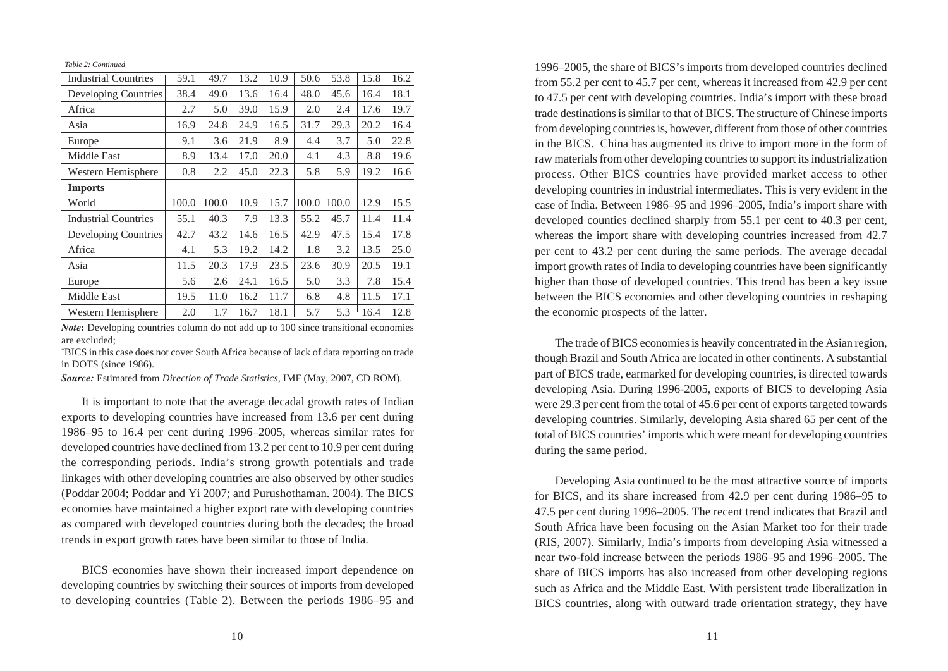*Table 2: Continued*

| <b>Industrial Countries</b> | 59.1  | 49.7  | 13.2 | 10.9 | 50.6  | 53.8  | 15.8 | 16.2 |
|-----------------------------|-------|-------|------|------|-------|-------|------|------|
| Developing Countries        | 38.4  | 49.0  | 13.6 | 16.4 | 48.0  | 45.6  | 16.4 | 18.1 |
| Africa                      | 2.7   | 5.0   | 39.0 | 15.9 | 2.0   | 2.4   | 17.6 | 19.7 |
| Asia                        | 16.9  | 24.8  | 24.9 | 16.5 | 31.7  | 29.3  | 20.2 | 16.4 |
| Europe                      | 9.1   | 3.6   | 21.9 | 8.9  | 4.4   | 3.7   | 5.0  | 22.8 |
| <b>Middle East</b>          | 8.9   | 13.4  | 17.0 | 20.0 | 4.1   | 4.3   | 8.8  | 19.6 |
| Western Hemisphere          | 0.8   | 2.2   | 45.0 | 22.3 | 5.8   | 5.9   | 19.2 | 16.6 |
| <b>Imports</b>              |       |       |      |      |       |       |      |      |
| World                       | 100.0 | 100.0 | 10.9 | 15.7 | 100.0 | 100.0 | 12.9 | 15.5 |
| <b>Industrial Countries</b> | 55.1  | 40.3  | 7.9  | 13.3 | 55.2  | 45.7  | 11.4 | 11.4 |
| Developing Countries        | 42.7  | 43.2  | 14.6 | 16.5 | 42.9  | 47.5  | 15.4 | 17.8 |
| Africa                      |       |       |      |      |       |       |      |      |
|                             | 4.1   | 5.3   | 19.2 | 14.2 | 1.8   | 3.2   | 13.5 | 25.0 |
| Asia                        | 11.5  | 20.3  | 17.9 | 23.5 | 23.6  | 30.9  | 20.5 | 19.1 |
| Europe                      | 5.6   | 2.6   | 24.1 | 16.5 | 5.0   | 3.3   | 7.8  | 15.4 |
| Middle East                 | 19.5  | 11.0  | 16.2 | 11.7 | 6.8   | 4.8   | 11.5 | 17.1 |

*Note*: Developing countries column do not add up to 100 since transitional economies are excluded;

\* BICS in this case does not cover South Africa because of lack of data reporting on trade in DOTS (since 1986).

*Source:* Estimated from *Direction of Trade Statistics*, IMF (May, 2007, CD ROM).

It is important to note that the average decadal growth rates of Indian exports to developing countries have increased from 13.6 per cent during 1986–95 to 16.4 per cent during 1996–2005, whereas similar rates for developed countries have declined from 13.2 per cent to 10.9 per cent during the corresponding periods. India's strong growth potentials and trade linkages with other developing countries are also observed by other studies (Poddar 2004; Poddar and Yi 2007; and Purushothaman. 2004). The BICS economies have maintained a higher export rate with developing countries as compared with developed countries during both the decades; the broad trends in export growth rates have been similar to those of India.

BICS economies have shown their increased import dependence on developing countries by switching their sources of imports from developed to developing countries (Table 2). Between the periods 1986–95 and 1996–2005, the share of BICS's imports from developed countries declined from 55.2 per cent to 45.7 per cent, whereas it increased from 42.9 per cent to 47.5 per cent with developing countries. India's import with these broad trade destinations is similar to that of BICS. The structure of Chinese imports from developing countries is, however, different from those of other countries in the BICS. China has augmented its drive to import more in the form of raw materials from other developing countries to support its industrialization process. Other BICS countries have provided market access to other developing countries in industrial intermediates. This is very evident in the case of India. Between 1986–95 and 1996–2005, India's import share with developed counties declined sharply from 55.1 per cent to 40.3 per cent, whereas the import share with developing countries increased from 42.7 per cent to 43.2 per cent during the same periods. The average decadal import growth rates of India to developing countries have been significantly higher than those of developed countries. This trend has been a key issue between the BICS economies and other developing countries in reshaping the economic prospects of the latter.

The trade of BICS economies is heavily concentrated in the Asian region, though Brazil and South Africa are located in other continents. A substantial part of BICS trade, earmarked for developing countries, is directed towards developing Asia. During 1996-2005, exports of BICS to developing Asia were 29.3 per cent from the total of 45.6 per cent of exports targeted towards developing countries. Similarly, developing Asia shared 65 per cent of the total of BICS countries' imports which were meant for developing countries during the same period.

Developing Asia continued to be the most attractive source of imports for BICS, and its share increased from 42.9 per cent during 1986–95 to 47.5 per cent during 1996–2005. The recent trend indicates that Brazil and South Africa have been focusing on the Asian Market too for their trade (RIS, 2007). Similarly, India's imports from developing Asia witnessed a near two-fold increase between the periods 1986–95 and 1996–2005. The share of BICS imports has also increased from other developing regions such as Africa and the Middle East. With persistent trade liberalization in BICS countries, along with outward trade orientation strategy, they have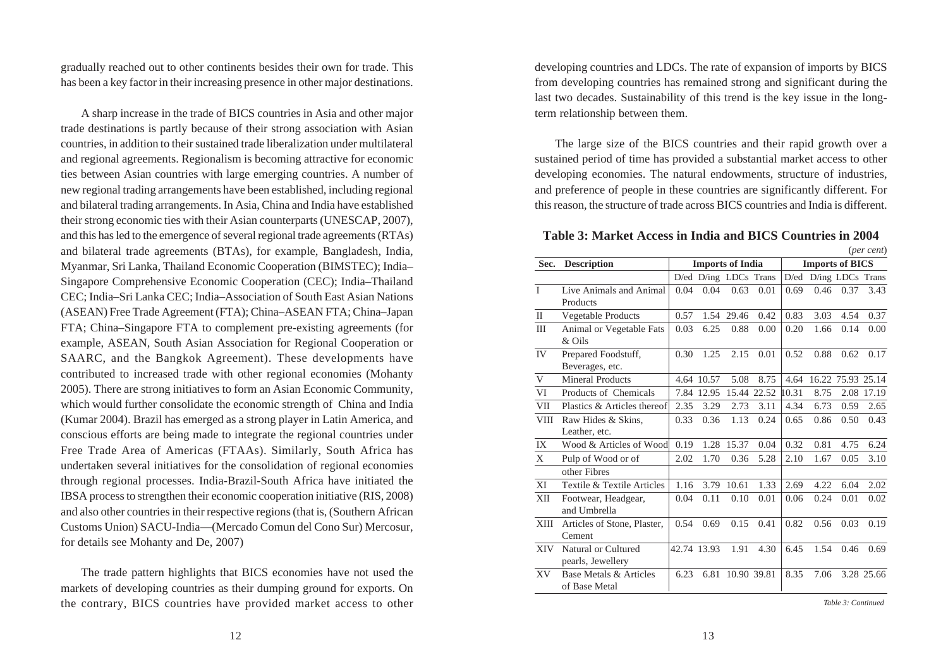gradually reached out to other continents besides their own for trade. This has been a key factor in their increasing presence in other major destinations.

A sharp increase in the trade of BICS countries in Asia and other major trade destinations is partly because of their strong association with Asian countries, in addition to their sustained trade liberalization under multilateral and regional agreements. Regionalism is becoming attractive for economic ties between Asian countries with large emerging countries. A number of new regional trading arrangements have been established, including regional and bilateral trading arrangements. In Asia, China and India have established their strong economic ties with their Asian counterparts (UNESCAP, 2007), and this has led to the emergence of several regional trade agreements (RTAs) and bilateral trade agreements (BTAs), for example, Bangladesh, India, Myanmar, Sri Lanka, Thailand Economic Cooperation (BIMSTEC); India– Singapore Comprehensive Economic Cooperation (CEC); India–Thailand CEC; India–Sri Lanka CEC; India–Association of South East Asian Nations (ASEAN) Free Trade Agreement (FTA); China–ASEAN FTA; China–Japan FTA; China–Singapore FTA to complement pre-existing agreements (for example, ASEAN, South Asian Association for Regional Cooperation or SAARC, and the Bangkok Agreement). These developments have contributed to increased trade with other regional economies (Mohanty 2005). There are strong initiatives to form an Asian Economic Community, which would further consolidate the economic strength of China and India (Kumar 2004). Brazil has emerged as a strong player in Latin America, and conscious efforts are being made to integrate the regional countries under Free Trade Area of Americas (FTAAs). Similarly, South Africa has undertaken several initiatives for the consolidation of regional economies through regional processes. India-Brazil-South Africa have initiated the IBSA process to strengthen their economic cooperation initiative (RIS, 2008) and also other countries in their respective regions (that is, (Southern African Customs Union) SACU-India—(Mercado Comun del Cono Sur) Mercosur, for details see Mohanty and De, 2007)

The trade pattern highlights that BICS economies have not used the markets of developing countries as their dumping ground for exports. On the contrary, BICS countries have provided market access to other developing countries and LDCs. The rate of expansion of imports by BICS from developing countries has remained strong and significant during the last two decades. Sustainability of this trend is the key issue in the longterm relationship between them.

The large size of the BICS countries and their rapid growth over a sustained period of time has provided a substantial market access to other developing economies. The natural endowments, structure of industries, and preference of people in these countries are significantly different. For this reason, the structure of trade across BICS countries and India is different.

**Table 3: Market Access in India and BICS Countries in 2004** (*per cent*)

|              |                                          |      |                         |       |             |       |                        |                   | $(\rho e_l$ cent |
|--------------|------------------------------------------|------|-------------------------|-------|-------------|-------|------------------------|-------------------|------------------|
| Sec.         | <b>Description</b>                       |      | <b>Imports of India</b> |       |             |       | <b>Imports of BICS</b> |                   |                  |
|              |                                          |      | D/ed D/ing LDCs Trans   |       |             | D/ed  |                        | D/ing LDCs Trans  |                  |
| I            | Live Animals and Animal                  | 0.04 | 0.04                    | 0.63  | 0.01        | 0.69  | 0.46                   | 0.37              | 3.43             |
|              | Products                                 |      |                         |       |             |       |                        |                   |                  |
| $\mathbf{I}$ | Vegetable Products                       | 0.57 | 1.54                    | 29.46 | 0.42        | 0.83  | 3.03                   | 4.54              | 0.37             |
| Ш            | Animal or Vegetable Fats<br>& Oils       | 0.03 | 6.25                    | 0.88  | 0.00        | 0.20  | 1.66                   | 0.14              | 0.00             |
| IV           | Prepared Foodstuff,<br>Beverages, etc.   | 0.30 | 1.25                    | 2.15  | 0.01        | 0.52  | 0.88                   | 0.62              | 0.17             |
|              |                                          |      |                         |       |             |       |                        |                   |                  |
| V            | <b>Mineral Products</b>                  |      | 4.64 10.57              | 5.08  | 8.75        | 4.64  |                        | 16.22 75.93 25.14 |                  |
| VI           | Products of Chemicals                    |      | 7.84 12.95              |       | 15.44 22.52 | 10.31 | 8.75                   | 2.08              | 17.19            |
| VII          | Plastics & Articles thereof              | 2.35 | 3.29                    | 2.73  | 3.11        | 4.34  | 6.73                   | 0.59              | 2.65             |
| <b>VIII</b>  | Raw Hides & Skins,                       | 0.33 | 0.36                    | 1.13  | 0.24        | 0.65  | 0.86                   | 0.50              | 0.43             |
|              | Leather, etc.                            |      |                         |       |             |       |                        |                   |                  |
| IX           | Wood & Articles of Wood                  | 0.19 | 1.28                    | 15.37 | 0.04        | 0.32  | 0.81                   | 4.75              | 6.24             |
| X            | Pulp of Wood or of                       | 2.02 | 1.70                    | 0.36  | 5.28        | 2.10  | 1.67                   | 0.05              | 3.10             |
|              | other Fibres                             |      |                         |       |             |       |                        |                   |                  |
| XI           | Textile & Textile Articles               | 1.16 | 3.79                    | 10.61 | 1.33        | 2.69  | 4.22                   | 6.04              | 2.02             |
| XII          | Footwear, Headgear,<br>and Umbrella      | 0.04 | 0.11                    | 0.10  | 0.01        | 0.06  | 0.24                   | 0.01              | 0.02             |
| <b>XIII</b>  | Articles of Stone, Plaster,<br>Cement    | 0.54 | 0.69                    | 0.15  | 0.41        | 0.82  | 0.56                   | 0.03              | 0.19             |
| <b>XIV</b>   | Natural or Cultured<br>pearls, Jewellery |      | 42.74 13.93             | 1.91  | 4.30        | 6.45  | 1.54                   | 0.46              | 0.69             |
| <b>XV</b>    | Base Metals & Articles<br>of Base Metal  | 6.23 | 6.81                    |       | 10.90 39.81 | 8.35  | 7.06                   |                   | 3.28 25.66       |

*Table 3: Continued*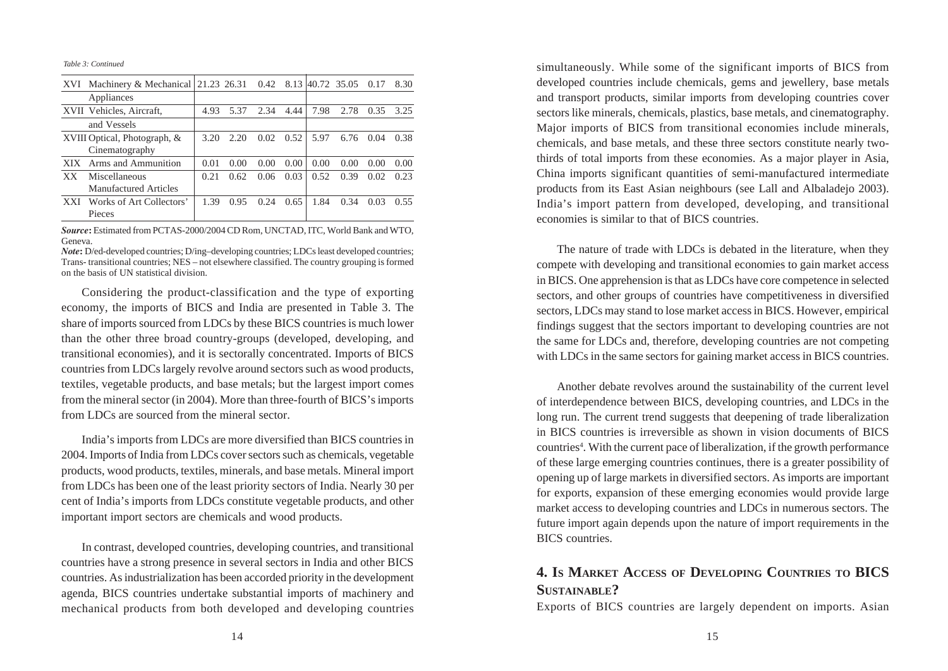*Table 3: Continued*

| XVI        | Machinery & Mechanical 21.23 26.31 0.42 8.13 40.72 35.05 0.17 |      |      |      |      |      |      |        | 8.30 |
|------------|---------------------------------------------------------------|------|------|------|------|------|------|--------|------|
|            | Appliances                                                    |      |      |      |      |      |      |        |      |
|            | XVII Vehicles, Aircraft,                                      | 4.93 | 5.37 | 2.34 | 4.44 | 7.98 | 2.78 | 0.35   | 3.25 |
|            | and Vessels                                                   |      |      |      |      |      |      |        |      |
|            | XVIII Optical, Photograph, &                                  | 3.20 | 2.20 | 0.02 | 0.52 | 5.97 | 6.76 | (1.04) | 0.38 |
|            | Cinematography                                                |      |      |      |      |      |      |        |      |
| XIX.       | Arms and Ammunition                                           | 0.01 | 0.00 | 0.00 | 0.00 | 0.00 | 0.00 | (0.00) | 0.00 |
| XX.        | Miscellaneous                                                 | 0.21 | 0.62 | 0.06 | 0.03 | 0.52 | 0.39 | 0.02   | 0.23 |
|            | <b>Manufactured Articles</b>                                  |      |      |      |      |      |      |        |      |
| <b>XXI</b> | Works of Art Collectors'                                      | 1.39 | 0.95 | 0.24 | 0.65 | 1.84 | 0.34 | 0.03   | 0.55 |
|            | Pieces                                                        |      |      |      |      |      |      |        |      |

*Source***:** Estimated from PCTAS-2000/2004 CD Rom, UNCTAD, ITC, World Bank and WTO, Geneva.

*Note*: D/ed-developed countries; D/ing–developing countries; LDCs least developed countries; Trans- transitional countries; NES – not elsewhere classified. The country grouping is formed on the basis of UN statistical division.

Considering the product-classification and the type of exporting economy, the imports of BICS and India are presented in Table 3. The share of imports sourced from LDCs by these BICS countries is much lower than the other three broad country-groups (developed, developing, and transitional economies), and it is sectorally concentrated. Imports of BICS countries from LDCs largely revolve around sectors such as wood products, textiles, vegetable products, and base metals; but the largest import comes from the mineral sector (in 2004). More than three-fourth of BICS's imports from LDCs are sourced from the mineral sector.

India's imports from LDCs are more diversified than BICS countries in 2004. Imports of India from LDCs cover sectors such as chemicals, vegetable products, wood products, textiles, minerals, and base metals. Mineral import from LDCs has been one of the least priority sectors of India. Nearly 30 per cent of India's imports from LDCs constitute vegetable products, and other important import sectors are chemicals and wood products.

In contrast, developed countries, developing countries, and transitional countries have a strong presence in several sectors in India and other BICS countries. As industrialization has been accorded priority in the development agenda, BICS countries undertake substantial imports of machinery and mechanical products from both developed and developing countries

simultaneously. While some of the significant imports of BICS from developed countries include chemicals, gems and jewellery, base metals and transport products, similar imports from developing countries cover sectors like minerals, chemicals, plastics, base metals, and cinematography. Major imports of BICS from transitional economies include minerals, chemicals, and base metals, and these three sectors constitute nearly twothirds of total imports from these economies. As a major player in Asia, China imports significant quantities of semi-manufactured intermediate products from its East Asian neighbours (see Lall and Albaladejo 2003). India's import pattern from developed, developing, and transitional economies is similar to that of BICS countries.

The nature of trade with LDCs is debated in the literature, when they compete with developing and transitional economies to gain market access in BICS. One apprehension is that as LDCs have core competence in selected sectors, and other groups of countries have competitiveness in diversified sectors, LDCs may stand to lose market access in BICS. However, empirical findings suggest that the sectors important to developing countries are not the same for LDCs and, therefore, developing countries are not competing with LDCs in the same sectors for gaining market access in BICS countries.

Another debate revolves around the sustainability of the current level of interdependence between BICS, developing countries, and LDCs in the long run. The current trend suggests that deepening of trade liberalization in BICS countries is irreversible as shown in vision documents of BICS countries<sup>4</sup>. With the current pace of liberalization, if the growth performance of these large emerging countries continues, there is a greater possibility of opening up of large markets in diversified sectors. As imports are important for exports, expansion of these emerging economies would provide large market access to developing countries and LDCs in numerous sectors. The future import again depends upon the nature of import requirements in the BICS countries.

### **4. IS MARKET ACCESS OF DEVELOPING COUNTRIES TO BICS SUSTAINABLE?**

Exports of BICS countries are largely dependent on imports. Asian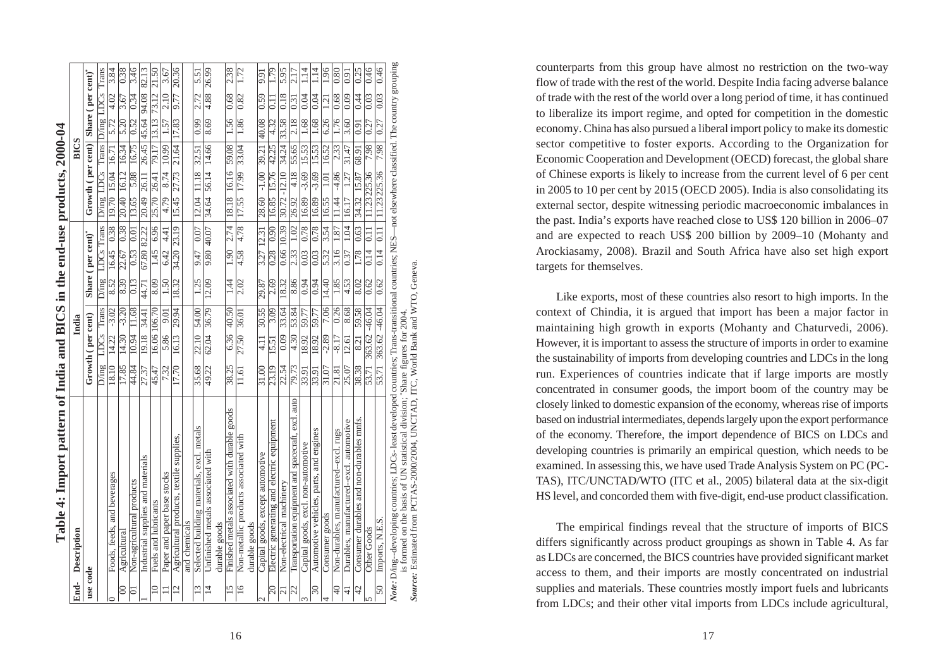|                         | Table 4: Import pattern of India and BICS in the end-use products, 2000-04                                                                                                                                                          |       |                   |                   |       |                   |                   |                                       |         |                   |       |                   |       |
|-------------------------|-------------------------------------------------------------------------------------------------------------------------------------------------------------------------------------------------------------------------------------|-------|-------------------|-------------------|-------|-------------------|-------------------|---------------------------------------|---------|-------------------|-------|-------------------|-------|
| End-                    | Description                                                                                                                                                                                                                         |       |                   | India             |       |                   |                   |                                       |         | <b>BICS</b>       |       |                   |       |
| use code                |                                                                                                                                                                                                                                     |       | Growth (per cent) |                   |       | Share (per cent)" |                   | Growth (per cent)   Share (per cent)" |         |                   |       |                   |       |
|                         |                                                                                                                                                                                                                                     | D/ing | LDCs              | Trans             | D/ing | LDCs Trans        |                   | D'ing LDCs Trans D'ing LDCs           |         |                   |       |                   | Trans |
| $\circ$                 | Foods, feeds, and beverages                                                                                                                                                                                                         | 18.10 | 14.22             | $-3.02$           | 8.52  | 16.45 0.38        |                   | 19.70 15.04 16.71                     |         |                   | 5.72  | 4.02              | 3.84  |
| $\infty$                | Agricultural                                                                                                                                                                                                                        | 17.85 | 14.30             | $-3.20$           | 8.39  | 22.67             | 0.38              | 20.40 16.12                           |         | 16.34             | 5.20  | 3.67              | 0.38  |
| $\overline{\circ}$      | Non-agricultural products                                                                                                                                                                                                           | 44.84 | 10.94             | 11.68             | 0.13  | 0.53              | 0.01              | 13.65                                 | 5.88    | 16.75             | 0.52  | 0.34              | 3.46  |
|                         | Industrial supplies and materials                                                                                                                                                                                                   | 27.37 | 19.18 34.41       |                   | 44.71 | 67.80 82.22       |                   | 20.49 26.11                           |         | 26.45 45.64       |       | 94.08             | 82.13 |
| $\approx$               | Fuels and lubricants                                                                                                                                                                                                                | 45.47 | 16.06 106.70      |                   | 8.09  | 1.45 6.96         |                   | 25.70 26.41                           |         | 79.17             | 13.13 | 73.12             | 21.50 |
| $\equiv$                | Paper and paper base stocks                                                                                                                                                                                                         | 7.32  | 5.86              | 9.01              | 1.50  | 6.424.41          |                   | 4.79                                  | 8.74    | 10.99             | 1.57  | 2.10              | 3.67  |
| $\overline{\Xi}$        | Agricultural products, textile supplies,                                                                                                                                                                                            | 17.70 | 16.13             | 29.94             | 18.32 | 34.20 23.19       |                   | 15.45                                 | 27.73   | 21.64             | 17.83 | 9.77              | 20.36 |
|                         | and chemicals                                                                                                                                                                                                                       |       |                   |                   |       |                   |                   |                                       |         |                   |       |                   |       |
| 13                      | Selected building materials, excl. metals                                                                                                                                                                                           | 35.68 | 22.10 54.00       |                   | 1.25  |                   |                   | 9.47 0.07 12.04 11.18 32.51           |         |                   | 0.99  | 2.72              | 5.51  |
| $\overline{4}$          | Unfinished metals associated with                                                                                                                                                                                                   | 49.22 | 62.04             | 36.79             | 12.09 | 9.80 40.07        |                   | 34.64 56.14                           |         | 14.66             | 8.69  | 4.88              | 26.99 |
|                         | durable goods                                                                                                                                                                                                                       |       |                   |                   |       |                   |                   |                                       |         |                   |       |                   |       |
| $\frac{5}{2}$           | Finished metals associated with durable goods                                                                                                                                                                                       | 38.25 |                   | 6.36 40.50        | 1.44  | 1.90              | 2.74              | 18.18 16.16                           |         | 59.08             | 1.56  | 0.68              | 2.38  |
| $\overline{16}$         | Non-metallic products associated with                                                                                                                                                                                               | 11.61 | 27.50 36.01       |                   | 2.02  | 4.58              | 4.78              | 17.55 17.99 33.04                     |         |                   | 1.86  | 0.82              | 1.72  |
|                         | durable goods                                                                                                                                                                                                                       |       |                   |                   |       |                   |                   |                                       |         |                   |       |                   |       |
| $\sim$                  | Capital goods, except automotive                                                                                                                                                                                                    | 31.00 | 4.11              | 30.55             | 29.87 | 3.27 12.31        |                   | 28.60 -1.00                           |         | 39.21             | 40.08 | 0.59              | 5.6   |
| $\approx$               | Electric generating and electric equipment                                                                                                                                                                                          | 23.19 | 15.51             | 3.09              | 2.69  | 0.28 0.90         |                   | 16.85 15.76 42.25                     |         |                   | 4.32  | II.               | 1.79  |
| $\overline{c}$          | Non-electrical machinery                                                                                                                                                                                                            | 22.54 | 0.09              | 33.64             | 18.32 | 0.66 10.39        |                   | $30.72 - 12.10$                       |         | 34.24             | 33.58 | 0.18              | 5.95  |
| $\overline{\mathbb{Z}}$ | Transportation equipment and spacecraft, excl. auto                                                                                                                                                                                 | 79.73 | $\sqrt{4.30}$     | 53.84             | 8.86  | $\overline{2.33}$ | $\overline{1.02}$ | 26.92                                 | 4.18    | 55.65             |       | 31                |       |
| $\omega$                | Capital goods, excl. non-automotive                                                                                                                                                                                                 | 33.91 | 18.92             | 59.77             | 0.94  | 0.03              | 0.78              | 16.89                                 | $-3.69$ | 15.53             | 1.68  | 0.04              | 1.14  |
| $\approx$               | Automotive vehicles, parts, and engines                                                                                                                                                                                             | 33.91 | 18.92             | 59.77             | 0.94  | 0.03              | 0.78              | 16.89 -3.69                           |         | 15.53             | 1.68  | 0.04              | 1.14  |
| 4                       | Consumer goods                                                                                                                                                                                                                      | 31.07 | $-2.89$           | 7.06              | 14.40 | 5.32              | 3.54              | 16.55                                 | 1.01    | 16.52             | 6.26  | $\overline{121}$  | 1.96  |
| $\Theta$                | Non-durables, manufactured--excl. rugs                                                                                                                                                                                              | 21.81 | $-8.17$           | $\overline{0.26}$ | 1.85  | 3.16              | 1.87              | 11.44                                 | $-4.86$ | $\overline{2.33}$ | 1.76  | $\overline{0.68}$ | 0.80  |
| $\frac{4}{3}$           | Durables, manufactured--excl. automotive                                                                                                                                                                                            | 25.07 | 12.61             | 8.68              | 4.53  | 0.37              | 1.04              | 16.17                                 | 1.27    | 31.47             | 3.60  | 0.09              | 5.0   |
| $\varphi$               | Consumer durables and non-durables mnts.                                                                                                                                                                                            | 38.38 | 8.21              | 59.58             | 8.02  | 1.78              | 0.63              | 34.32 15.87                           |         | 68.91             | 0.91  | 0.44              | 0.25  |
| In                      | Other Goods                                                                                                                                                                                                                         | 53.71 | 363.62 -46.04     |                   | 0.62  | 0.14              | 0.11              | 11.23225.36                           |         | 7.98              | 0.27  | 0.03              | 0.46  |
| $\overline{50}$         | Imports, N.E.S.                                                                                                                                                                                                                     | 53.71 | 363.62 -46.04     |                   | 0.62  | 0.14              | $\overline{0.11}$ | 11.23225.36                           |         | 7.98              | 0.27  | 0.03              | 0.46  |
|                         | Note: D/ing--developing countries; LDCs-least developed countries; Trans-transitional countries; NES--not elsewhere classified. The country grouping<br>is formed on the basis of UN statistical division; "Share figures for 2004. |       |                   |                   |       |                   |                   |                                       |         |                   |       |                   |       |

Source: Estimated from PCTAS-2000/2004, UNCTAD, ITC, World Bank and WTO, Geneva. *Source:* Estimated from PCTAS-2000/2004, UNCTAD, ITC, World Bank and WTO, Geneva. is formed on the basis of UN statistical division; \*Share figures for 2004.

counterparts from this group have almost no restriction on the two-way flow of trade with the rest of the world. Despite India facing adverse balance of trade with the rest of the world over a long period of time, it has continued to liberalize its import regime, and opted for competition in the domestic economy. China has also pursued a liberal import policy to make its domestic sector competitive to foster exports. According to the Organization for Economic Cooperation and Development (OECD) forecast, the global share of Chinese exports is likely to increase from the current level of 6 per cent in 2005 to 10 per cent by 2015 (OECD 2005). India is also consolidating its external sector, despite witnessing periodic macroeconomic imbalances in the past. India's exports have reached close to US\$ 120 billion in 2006–07 and are expected to reach US\$ 200 billion by 2009–10 (Mohanty and Arockiasamy, 2008). Brazil and South Africa have also set high export targets for themselves.

Like exports, most of these countries also resort to high imports. In the context of Chindia, it is argued that import has been a major factor in maintaining high growth in exports (Mohanty and Chaturvedi, 2006). However, it is important to assess the structure of imports in order to examine the sustainability of imports from developing countries and LDCs in the long run. Experiences of countries indicate that if large imports are mostly concentrated in consumer goods, the import boom of the country may be closely linked to domestic expansion of the economy, whereas rise of imports based on industrial intermediates, depends largely upon the export performance of the economy. Therefore, the import dependence of BICS on LDCs and developing countries is primarily an empirical question, which needs to be examined. In assessing this, we have used Trade Analysis System on PC (PC-TAS), ITC/UNCTAD/WTO (ITC et al., 2005) bilateral data at the six-digit HS level, and concorded them with five-digit, end-use product classification.

The empirical findings reveal that the structure of imports of BICS differs significantly across product groupings as shown in Table 4. As far as LDCs are concerned, the BICS countries have provided significant market access to them, and their imports are mostly concentrated on industrial supplies and materials. These countries mostly import fuels and lubricants from LDCs; and their other vital imports from LDCs include agricultural,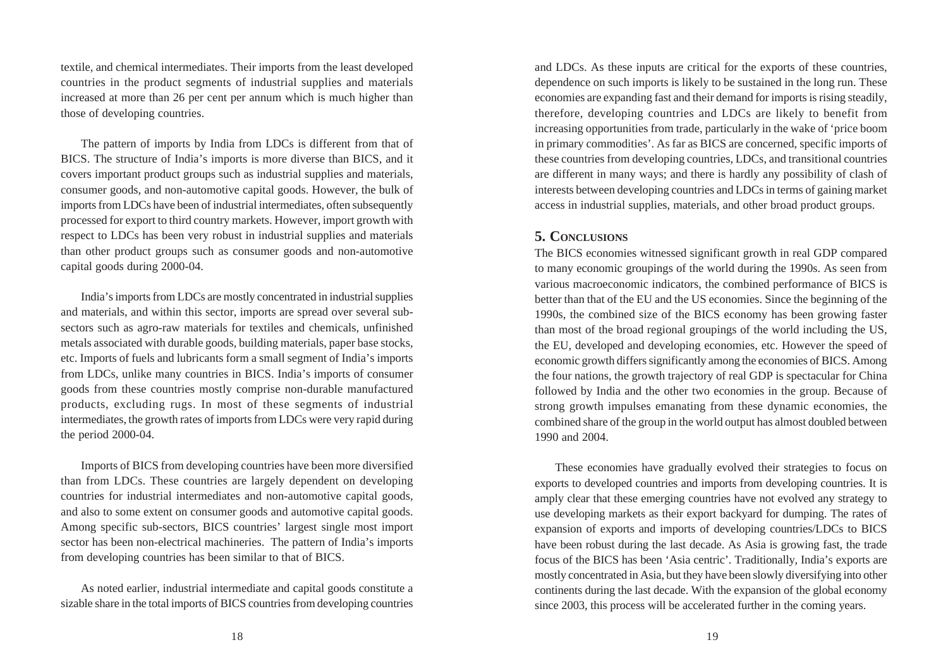textile, and chemical intermediates. Their imports from the least developed countries in the product segments of industrial supplies and materials increased at more than 26 per cent per annum which is much higher than those of developing countries.

The pattern of imports by India from LDCs is different from that of BICS. The structure of India's imports is more diverse than BICS, and it covers important product groups such as industrial supplies and materials, consumer goods, and non-automotive capital goods. However, the bulk of imports from LDCs have been of industrial intermediates, often subsequently processed for export to third country markets. However, import growth with respect to LDCs has been very robust in industrial supplies and materials than other product groups such as consumer goods and non-automotive capital goods during 2000-04.

India's imports from LDCs are mostly concentrated in industrial supplies and materials, and within this sector, imports are spread over several subsectors such as agro-raw materials for textiles and chemicals, unfinished metals associated with durable goods, building materials, paper base stocks, etc. Imports of fuels and lubricants form a small segment of India's imports from LDCs, unlike many countries in BICS. India's imports of consumer goods from these countries mostly comprise non-durable manufactured products, excluding rugs. In most of these segments of industrial intermediates, the growth rates of imports from LDCs were very rapid during the period 2000-04.

Imports of BICS from developing countries have been more diversified than from LDCs. These countries are largely dependent on developing countries for industrial intermediates and non-automotive capital goods, and also to some extent on consumer goods and automotive capital goods. Among specific sub-sectors, BICS countries' largest single most import sector has been non-electrical machineries. The pattern of India's imports from developing countries has been similar to that of BICS.

As noted earlier, industrial intermediate and capital goods constitute a sizable share in the total imports of BICS countries from developing countries

and LDCs. As these inputs are critical for the exports of these countries, dependence on such imports is likely to be sustained in the long run. These economies are expanding fast and their demand for imports is rising steadily, therefore, developing countries and LDCs are likely to benefit from increasing opportunities from trade, particularly in the wake of 'price boom in primary commodities'. As far as BICS are concerned, specific imports of these countries from developing countries, LDCs, and transitional countries are different in many ways; and there is hardly any possibility of clash of interests between developing countries and LDCs in terms of gaining market access in industrial supplies, materials, and other broad product groups.

#### **5. CONCLUSIONS**

The BICS economies witnessed significant growth in real GDP compared to many economic groupings of the world during the 1990s. As seen from various macroeconomic indicators, the combined performance of BICS is better than that of the EU and the US economies. Since the beginning of the 1990s, the combined size of the BICS economy has been growing faster than most of the broad regional groupings of the world including the US, the EU, developed and developing economies, etc. However the speed of economic growth differs significantly among the economies of BICS. Among the four nations, the growth trajectory of real GDP is spectacular for China followed by India and the other two economies in the group. Because of strong growth impulses emanating from these dynamic economies, the combined share of the group in the world output has almost doubled between 1990 and 2004.

These economies have gradually evolved their strategies to focus on exports to developed countries and imports from developing countries. It is amply clear that these emerging countries have not evolved any strategy to use developing markets as their export backyard for dumping. The rates of expansion of exports and imports of developing countries/LDCs to BICS have been robust during the last decade. As Asia is growing fast, the trade focus of the BICS has been 'Asia centric'. Traditionally, India's exports are mostly concentrated in Asia, but they have been slowly diversifying into other continents during the last decade. With the expansion of the global economy since 2003, this process will be accelerated further in the coming years.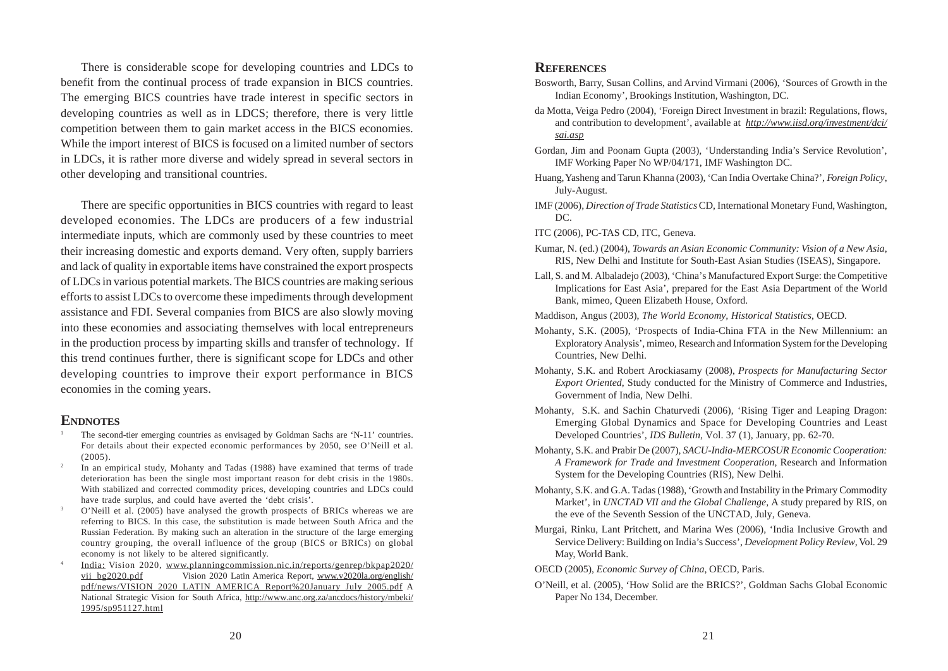There is considerable scope for developing countries and LDCs to benefit from the continual process of trade expansion in BICS countries. The emerging BICS countries have trade interest in specific sectors in developing countries as well as in LDCS; therefore, there is very little competition between them to gain market access in the BICS economies. While the import interest of BICS is focused on a limited number of sectors in LDCs, it is rather more diverse and widely spread in several sectors in other developing and transitional countries.

There are specific opportunities in BICS countries with regard to least developed economies. The LDCs are producers of a few industrial intermediate inputs, which are commonly used by these countries to meet their increasing domestic and exports demand. Very often, supply barriers and lack of quality in exportable items have constrained the export prospects of LDCs in various potential markets. The BICS countries are making serious efforts to assist LDCs to overcome these impediments through development assistance and FDI. Several companies from BICS are also slowly moving into these economies and associating themselves with local entrepreneurs in the production process by imparting skills and transfer of technology. If this trend continues further, there is significant scope for LDCs and other developing countries to improve their export performance in BICS economies in the coming years.

#### **ENDNOTES**

- <sup>1</sup> The second-tier emerging countries as envisaged by Goldman Sachs are 'N-11' countries. For details about their expected economic performances by 2050, see O'Neill et al. (2005).
- <sup>2</sup> In an empirical study, Mohanty and Tadas (1988) have examined that terms of trade deterioration has been the single most important reason for debt crisis in the 1980s. With stabilized and corrected commodity prices, developing countries and LDCs could have trade surplus, and could have averted the 'debt crisis'.
- <sup>3</sup> O'Neill et al. (2005) have analysed the growth prospects of BRICs whereas we are referring to BICS. In this case, the substitution is made between South Africa and the Russian Federation. By making such an alteration in the structure of the large emerging country grouping, the overall influence of the group (BICS or BRICs) on global economy is not likely to be altered significantly.
- <sup>4</sup> India: Vision 2020, www.planningcommission.nic.in/reports/genrep/bkpap2020/ vii bg2020.pdf Vision 2020 Latin America Report, www.v2020la.org/english/ pdf/news/VISION\_2020\_LATIN\_AMERICA\_Report%20January\_July\_2005.pdf A National Strategic Vision for South Africa, http://www.anc.org.za/ancdocs/history/mbeki/ 1995/sp951127.html

#### **REFERENCES**

- Bosworth, Barry, Susan Collins, and Arvind Virmani (2006), 'Sources of Growth in the Indian Economy', Brookings Institution, Washington, DC.
- da Motta, Veiga Pedro (2004), 'Foreign Direct Investment in brazil: Regulations, flows, and contribution to development', available at *http://www.iisd.org/investment/dci/ sai.asp*
- Gordan, Jim and Poonam Gupta (2003), 'Understanding India's Service Revolution', IMF Working Paper No WP/04/171, IMF Washington DC.
- Huang, Yasheng and Tarun Khanna (2003), 'Can India Overtake China?', *Foreign Policy*, July-August.
- IMF (2006), *Direction of Trade Statistics* CD, International Monetary Fund, Washington, DC.
- ITC (2006), PC-TAS CD, ITC, Geneva.
- Kumar, N. (ed.) (2004), *Towards an Asian Economic Community: Vision of a New Asia*, RIS, New Delhi and Institute for South-East Asian Studies (ISEAS), Singapore.
- Lall, S. and M. Albaladejo (2003), 'China's Manufactured Export Surge: the Competitive Implications for East Asia', prepared for the East Asia Department of the World Bank, mimeo, Queen Elizabeth House, Oxford.
- Maddison, Angus (2003), *The World Economy, Historical Statistics*, OECD.
- Mohanty, S.K. (2005), 'Prospects of India-China FTA in the New Millennium: an Exploratory Analysis', mimeo, Research and Information System for the Developing Countries, New Delhi.
- Mohanty, S.K. and Robert Arockiasamy (2008), *Prospects for Manufacturing Sector Export Oriented*, Study conducted for the Ministry of Commerce and Industries, Government of India, New Delhi.
- Mohanty, S.K. and Sachin Chaturvedi (2006), 'Rising Tiger and Leaping Dragon: Emerging Global Dynamics and Space for Developing Countries and Least Developed Countries', *IDS Bulletin*, Vol. 37 (1), January, pp. 62-70.
- Mohanty, S.K. and Prabir De (2007), *SACU-India-MERCOSUR Economic Cooperation: A Framework for Trade and Investment Cooperation*, Research and Information System for the Developing Countries (RIS), New Delhi.
- Mohanty, S.K. and G.A. Tadas (1988), 'Growth and Instability in the Primary Commodity Market', in *UNCTAD VII and the Global Challenge*, A study prepared by RIS, on the eve of the Seventh Session of the UNCTAD, July, Geneva.
- Murgai, Rinku, Lant Pritchett, and Marina Wes (2006), 'India Inclusive Growth and Service Delivery: Building on India's Success', *Development Policy Review*, Vol. 29 May, World Bank.
- OECD (2005), *Economic Survey of China*, OECD, Paris.
- O'Neill, et al. (2005), 'How Solid are the BRICS?', Goldman Sachs Global Economic Paper No 134, December.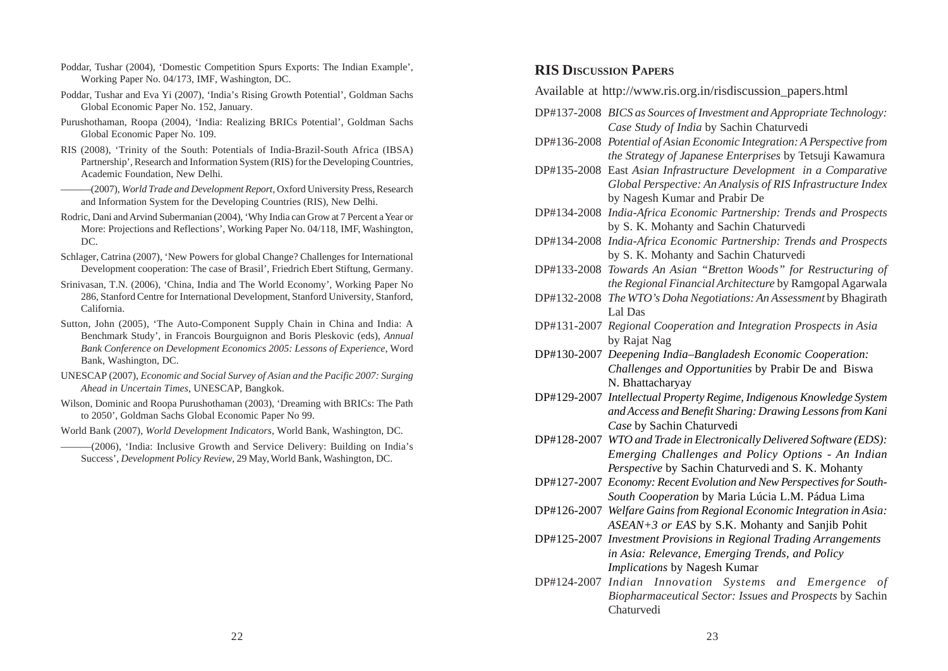- Poddar, Tushar (2004), 'Domestic Competition Spurs Exports: The Indian Example', Working Paper No. 04/173, IMF, Washington, DC.
- Poddar, Tushar and Eva Yi (2007), 'India's Rising Growth Potential', Goldman Sachs Global Economic Paper No. 152, January.
- Purushothaman, Roopa (2004), 'India: Realizing BRICs Potential', Goldman Sachs Global Economic Paper No. 109.
- RIS (2008), 'Trinity of the South: Potentials of India-Brazil-South Africa (IBSA) Partnership'*,* Research and Information System (RIS) for the Developing Countries, Academic Foundation, New Delhi.
- ———(2007), *World Trade and Development Report*, Oxford University Press, Research and Information System for the Developing Countries (RIS), New Delhi.
- Rodric, Dani and Arvind Subermanian (2004), 'Why India can Grow at 7 Percent a Year or More: Projections and Reflections', Working Paper No. 04/118, IMF, Washington, DC.
- Schlager, Catrina (2007), 'New Powers for global Change? Challenges for International Development cooperation: The case of Brasil', Friedrich Ebert Stiftung, Germany.
- Srinivasan, T.N. (2006), 'China, India and The World Economy', Working Paper No 286, Stanford Centre for International Development, Stanford University, Stanford, California.
- Sutton, John (2005), 'The Auto-Component Supply Chain in China and India: A Benchmark Study', in Francois Bourguignon and Boris Pleskovic (eds), *Annual Bank Conference on Development Economics 2005: Lessons of Experience*, Word Bank, Washington, DC.
- UNESCAP (2007), *Economic and Social Survey of Asian and the Pacific 2007: Surging Ahead in Uncertain Times*, UNESCAP, Bangkok.
- Wilson, Dominic and Roopa Purushothaman (2003), 'Dreaming with BRICs: The Path to 2050', Goldman Sachs Global Economic Paper No 99.
- World Bank (2007), *World Development Indicators*, World Bank, Washington, DC.
	- ———(2006), 'India: Inclusive Growth and Service Delivery: Building on India's Success', *Development Policy Review*, 29 May, World Bank, Washington, DC.

#### **RIS DISCUSSION PAPERS**

Available at http://www.ris.org.in/risdiscussion\_papers.html

- DP#137-2008 *BICS as Sources of Investment and Appropriate Technology: Case Study of India* by Sachin Chaturvedi
- DP#136-2008 *Potential of Asian Economic Integration: A Perspective from the Strategy of Japanese Enterprises* by Tetsuji Kawamura
- DP#135-2008 East *Asian Infrastructure Development in a Comparative Global Perspective: An Analysis of RIS Infrastructure Index* by Nagesh Kumar and Prabir De
- DP#134-2008 *India-Africa Economic Partnership: Trends and Prospects* by S. K. Mohanty and Sachin Chaturvedi
- DP#134-2008 *India-Africa Economic Partnership: Trends and Prospects* by S. K. Mohanty and Sachin Chaturvedi
- DP#133-2008 *Towards An Asian "Bretton Woods" for Restructuring of the Regional Financial Architecture* by Ramgopal Agarwala
- DP#132-2008 *The WTO's Doha Negotiations: An Assessment* by Bhagirath Lal Das
- DP#131-2007 *Regional Cooperation and Integration Prospects in Asia* by Rajat Nag
- DP#130-2007 *Deepening India–Bangladesh Economic Cooperation: Challenges and Opportunities* by Prabir De and Biswa N. Bhattacharyay
- DP#129-2007 *Intellectual Property Regime, Indigenous Knowledge System and Access and Benefit Sharing: Drawing Lessons from Kani Case* by Sachin Chaturvedi
- DP#128-2007 *WTO and Trade in Electronically Delivered Software (EDS): Emerging Challenges and Policy Options - An Indian Perspective* by Sachin Chaturvedi and S. K. Mohanty
- DP#127-2007 *Economy: Recent Evolution and New Perspectives for South-South Cooperation* by Maria Lúcia L.M. Pádua Lima
- DP#126-2007 *Welfare Gains from Regional Economic Integration in Asia: ASEAN+3 or EAS* by S.K. Mohanty and Sanjib Pohit
- DP#125-2007 *Investment Provisions in Regional Trading Arrangements in Asia: Relevance, Emerging Trends, and Policy Implications* by Nagesh Kumar
- DP#124-2007 *Indian Innovation Systems and Emergence of Biopharmaceutical Sector: Issues and Prospects* by Sachin Chaturvedi